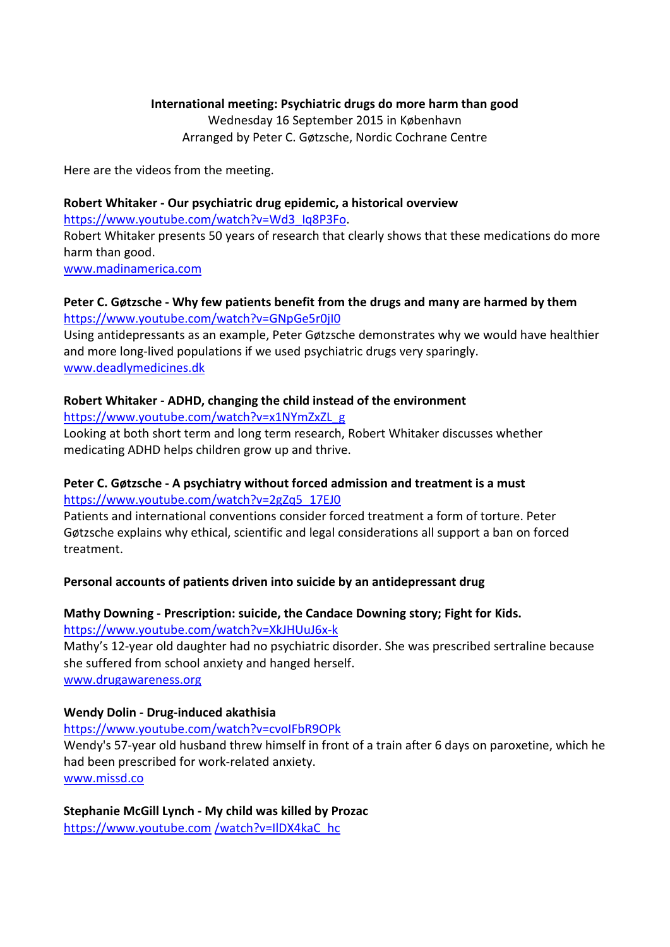## **International meeting: Psychiatric drugs do more harm than good** Wednesday 16 September 2015 in København Arranged by Peter C. Gøtzsche, Nordic Cochrane Centre

Here are the videos from the meeting.

# **Robert Whitaker - Our psychiatric drug epidemic, a historical overview** [https://www.youtube.com/watch?v=Wd3\\_Iq8P3Fo.](https://www.youtube.com/watch?v=Wd3_Iq8P3Fo) Robert Whitaker presents 50 years of research that clearly shows that these medications do more harm than good. [www.madinamerica.com](http://www.madinamerica.com/)

## **Peter C. Gøtzsche - Why few patients benefit from the drugs and many are harmed by them** <https://www.youtube.com/watch?v=GNpGe5r0jI0>

Using antidepressants as an example, Peter Gøtzsche demonstrates why we would have healthier and more long-lived populations if we used psychiatric drugs very sparingly. [www.deadlymedicines.dk](http://www.deadlymedicines.dk/)

## **Robert Whitaker - ADHD, changing the child instead of the environment**

[https://www.youtube.com/watch?v=x1NYmZxZL\\_g](https://www.youtube.com/watch?v=x1NYmZxZL_g)

Looking at both short term and long term research, Robert Whitaker discusses whether medicating ADHD helps children grow up and thrive.

# **Peter C. Gøtzsche - A psychiatry without forced admission and treatment is a must**  [https://www.youtube.com/watch?v=2gZq5\\_17EJ0](https://www.youtube.com/watch?v=2gZq5_17EJ0)

Patients and international conventions consider forced treatment a form of torture. Peter Gøtzsche explains why ethical, scientific and legal considerations all support a ban on forced treatment.

# **Personal accounts of patients driven into suicide by an antidepressant drug**

#### **Mathy Downing - Prescription: suicide, the Candace Downing story; Fight for Kids.** <https://www.youtube.com/watch?v=XkJHUuJ6x-k>

Mathy's 12-year old daughter had no psychiatric disorder. She was prescribed sertraline because she suffered from school anxiety and hanged herself. [www.drugawareness.org](http://www.drugawareness.org/)

## **Wendy Dolin - Drug-induced akathisia**

## <https://www.youtube.com/watch?v=cvoIFbR9OPk>

Wendy's 57-year old husband threw himself in front of a train after 6 days on paroxetine, which he had been prescribed for work-related anxiety. [www.missd.co](http://www.missd.co/)

**Stephanie McGill Lynch - My child was killed by Prozac**  [https://www.youtube.com](https://www.youtube.com/watch?v=IlDX4kaC_hc) /watch?v=IlDX4kaC\_hc